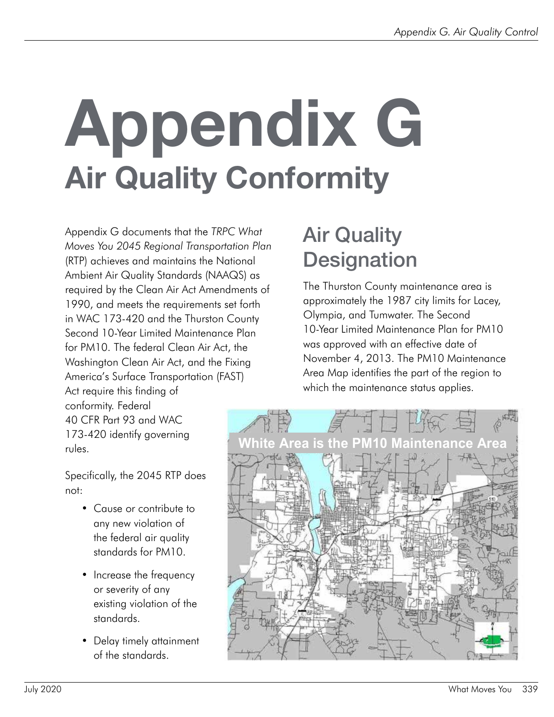# Appendix G Air Quality Conformity

Appendix G documents that the *TRPC What Moves You 2045 Regional Transportation Plan* (RTP) achieves and maintains the National Ambient Air Quality Standards (NAAQS) as required by the Clean Air Act Amendments of 1990, and meets the requirements set forth in WAC 173-420 and the Thurston County Second 10-Year Limited Maintenance Plan for PM10. The federal Clean Air Act, the Washington Clean Air Act, and the Fixing America's Surface Transportation (FAST)

Act require this finding of conformity. Federal 40 CFR Part 93 and WAC 173-420 identify governing rules.

Specifically, the 2045 RTP does not:

- Cause or contribute to any new violation of the federal air quality standards for PM10.
- Increase the frequency or severity of any existing violation of the standards.
- Delay timely attainment of the standards.

## Air Quality **Designation**

The Thurston County maintenance area is approximately the 1987 city limits for Lacey, Olympia, and Tumwater. The Second 10-Year Limited Maintenance Plan for PM10 was approved with an effective date of November 4, 2013. The PM10 Maintenance Area Map identifies the part of the region to which the maintenance status applies.

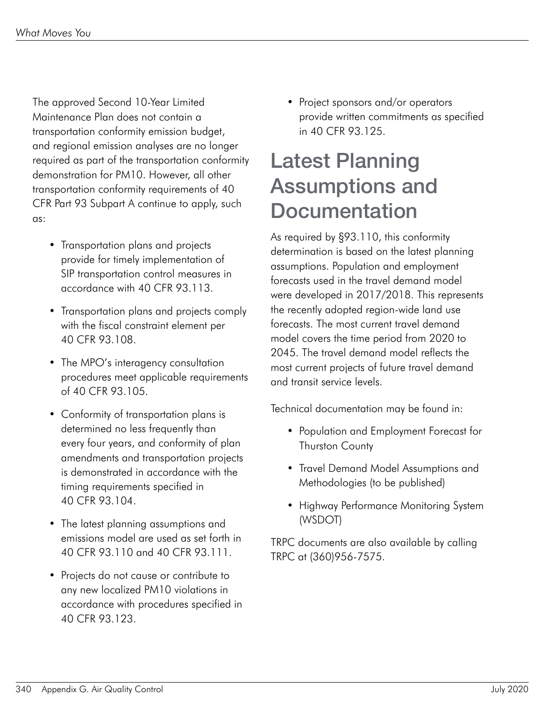The approved Second 10-Year Limited Maintenance Plan does not contain a transportation conformity emission budget, and regional emission analyses are no longer required as part of the transportation conformity demonstration for PM10. However, all other transportation conformity requirements of 40 CFR Part 93 Subpart A continue to apply, such as:

- Transportation plans and projects provide for timely implementation of SIP transportation control measures in accordance with 40 CFR 93.113.
- Transportation plans and projects comply with the fiscal constraint element per 40 CFR 93.108.
- The MPO's interagency consultation procedures meet applicable requirements of 40 CFR 93.105.
- Conformity of transportation plans is determined no less frequently than every four years, and conformity of plan amendments and transportation projects is demonstrated in accordance with the timing requirements specified in 40 CFR 93.104.
- The latest planning assumptions and emissions model are used as set forth in 40 CFR 93.110 and 40 CFR 93.111.
- Projects do not cause or contribute to any new localized PM10 violations in accordance with procedures specified in 40 CFR 93.123.

• Project sponsors and/or operators provide written commitments as specified in 40 CFR 93.125.

#### Latest Planning Assumptions and **Documentation**

As required by §93.110, this conformity determination is based on the latest planning assumptions. Population and employment forecasts used in the travel demand model were developed in 2017/2018. This represents the recently adopted region-wide land use forecasts. The most current travel demand model covers the time period from 2020 to 2045. The travel demand model reflects the most current projects of future travel demand and transit service levels.

Technical documentation may be found in:

- Population and Employment Forecast for Thurston County
- Travel Demand Model Assumptions and Methodologies (to be published)
- Highway Performance Monitoring System (WSDOT)

TRPC documents are also available by calling TRPC at (360)956-7575.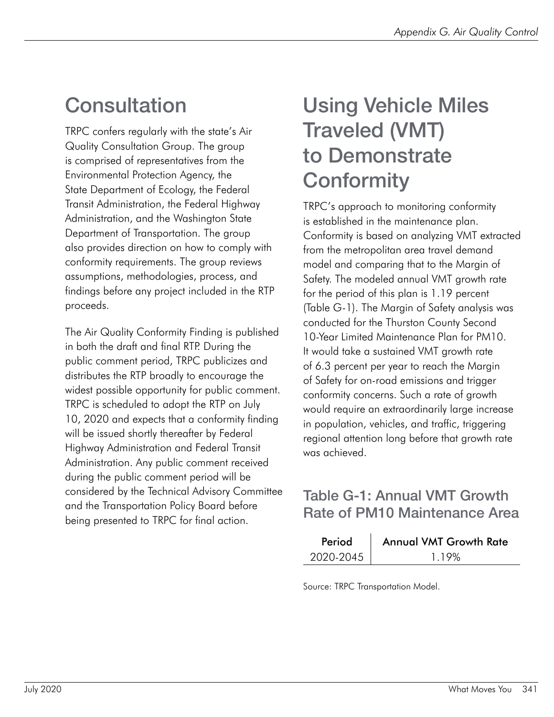### **Consultation**

TRPC confers regularly with the state's Air Quality Consultation Group. The group is comprised of representatives from the Environmental Protection Agency, the State Department of Ecology, the Federal Transit Administration, the Federal Highway Administration, and the Washington State Department of Transportation. The group also provides direction on how to comply with conformity requirements. The group reviews assumptions, methodologies, process, and findings before any project included in the RTP proceeds.

The Air Quality Conformity Finding is published in both the draft and final RTP. During the public comment period, TRPC publicizes and distributes the RTP broadly to encourage the widest possible opportunity for public comment. TRPC is scheduled to adopt the RTP on July 10, 2020 and expects that a conformity finding will be issued shortly thereafter by Federal Highway Administration and Federal Transit Administration. Any public comment received during the public comment period will be considered by the Technical Advisory Committee and the Transportation Policy Board before being presented to TRPC for final action.

### Using Vehicle Miles Traveled (VMT) to Demonstrate **Conformity**

TRPC's approach to monitoring conformity is established in the maintenance plan. Conformity is based on analyzing VMT extracted from the metropolitan area travel demand model and comparing that to the Margin of Safety. The modeled annual VMT growth rate for the period of this plan is 1.19 percent (Table G-1). The Margin of Safety analysis was conducted for the Thurston County Second 10-Year Limited Maintenance Plan for PM10. It would take a sustained VMT growth rate of 6.3 percent per year to reach the Margin of Safety for on-road emissions and trigger conformity concerns. Such a rate of growth would require an extraordinarily large increase in population, vehicles, and traffic, triggering regional attention long before that growth rate was achieved.

#### Table G-1: Annual VMT Growth Rate of PM10 Maintenance Area

| Period    | <b>Annual VMT Growth Rate</b> |
|-----------|-------------------------------|
| 2020-2045 | 119%                          |

Source: TRPC Transportation Model.